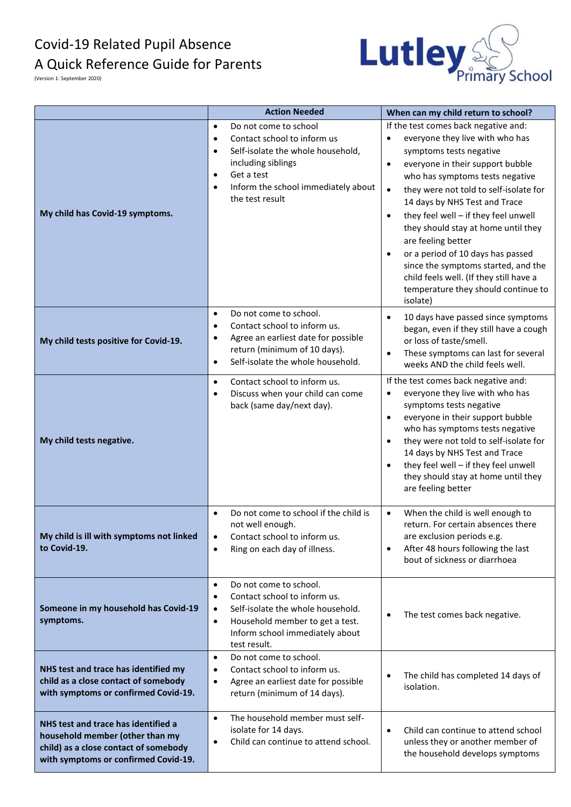## Covid-19 Related Pupil Absence A Quick Reference Guide for Parents



(Version 1: September 2020)

|                                                                                                                                                         | <b>Action Needed</b>                                                                                                                                                                                                                                     | When can my child return to school?                                                                                                                                                                                                                                                                                                                                                                                                                                                                                                                                        |
|---------------------------------------------------------------------------------------------------------------------------------------------------------|----------------------------------------------------------------------------------------------------------------------------------------------------------------------------------------------------------------------------------------------------------|----------------------------------------------------------------------------------------------------------------------------------------------------------------------------------------------------------------------------------------------------------------------------------------------------------------------------------------------------------------------------------------------------------------------------------------------------------------------------------------------------------------------------------------------------------------------------|
| My child has Covid-19 symptoms.                                                                                                                         | Do not come to school<br>$\bullet$<br>Contact school to inform us<br>$\bullet$<br>Self-isolate the whole household,<br>$\bullet$<br>including siblings<br>Get a test<br>$\bullet$<br>Inform the school immediately about<br>$\bullet$<br>the test result | If the test comes back negative and:<br>everyone they live with who has<br>$\bullet$<br>symptoms tests negative<br>everyone in their support bubble<br>$\bullet$<br>who has symptoms tests negative<br>they were not told to self-isolate for<br>14 days by NHS Test and Trace<br>they feel well - if they feel unwell<br>$\bullet$<br>they should stay at home until they<br>are feeling better<br>or a period of 10 days has passed<br>since the symptoms started, and the<br>child feels well. (If they still have a<br>temperature they should continue to<br>isolate) |
| My child tests positive for Covid-19.                                                                                                                   | Do not come to school.<br>$\bullet$<br>Contact school to inform us.<br>$\bullet$<br>Agree an earliest date for possible<br>$\bullet$<br>return (minimum of 10 days).<br>Self-isolate the whole household.<br>$\bullet$                                   | 10 days have passed since symptoms<br>$\bullet$<br>began, even if they still have a cough<br>or loss of taste/smell.<br>These symptoms can last for several<br>$\bullet$<br>weeks AND the child feels well.                                                                                                                                                                                                                                                                                                                                                                |
| My child tests negative.                                                                                                                                | Contact school to inform us.<br>$\bullet$<br>Discuss when your child can come<br>$\bullet$<br>back (same day/next day).                                                                                                                                  | If the test comes back negative and:<br>everyone they live with who has<br>$\bullet$<br>symptoms tests negative<br>everyone in their support bubble<br>$\bullet$<br>who has symptoms tests negative<br>they were not told to self-isolate for<br>$\bullet$<br>14 days by NHS Test and Trace<br>they feel well - if they feel unwell<br>they should stay at home until they<br>are feeling better                                                                                                                                                                           |
| My child is ill with symptoms not linked<br>to Covid-19.                                                                                                | Do not come to school if the child is<br>not well enough.<br>Contact school to inform us.<br>$\bullet$<br>Ring on each day of illness.<br>$\bullet$                                                                                                      | When the child is well enough to<br>$\bullet$<br>return. For certain absences there<br>are exclusion periods e.g.<br>After 48 hours following the last<br>$\bullet$<br>bout of sickness or diarrhoea                                                                                                                                                                                                                                                                                                                                                                       |
| Someone in my household has Covid-19<br>symptoms.                                                                                                       | Do not come to school.<br>$\bullet$<br>Contact school to inform us.<br>$\bullet$<br>Self-isolate the whole household.<br>$\bullet$<br>Household member to get a test.<br>$\bullet$<br>Inform school immediately about<br>test result.                    | The test comes back negative.                                                                                                                                                                                                                                                                                                                                                                                                                                                                                                                                              |
| NHS test and trace has identified my<br>child as a close contact of somebody<br>with symptoms or confirmed Covid-19.                                    | Do not come to school.<br>$\bullet$<br>Contact school to inform us.<br>$\bullet$<br>Agree an earliest date for possible<br>$\bullet$<br>return (minimum of 14 days).                                                                                     | The child has completed 14 days of<br>$\bullet$<br>isolation.                                                                                                                                                                                                                                                                                                                                                                                                                                                                                                              |
| NHS test and trace has identified a<br>household member (other than my<br>child) as a close contact of somebody<br>with symptoms or confirmed Covid-19. | The household member must self-<br>$\bullet$<br>isolate for 14 days.<br>Child can continue to attend school.<br>$\bullet$                                                                                                                                | Child can continue to attend school<br>$\bullet$<br>unless they or another member of<br>the household develops symptoms                                                                                                                                                                                                                                                                                                                                                                                                                                                    |